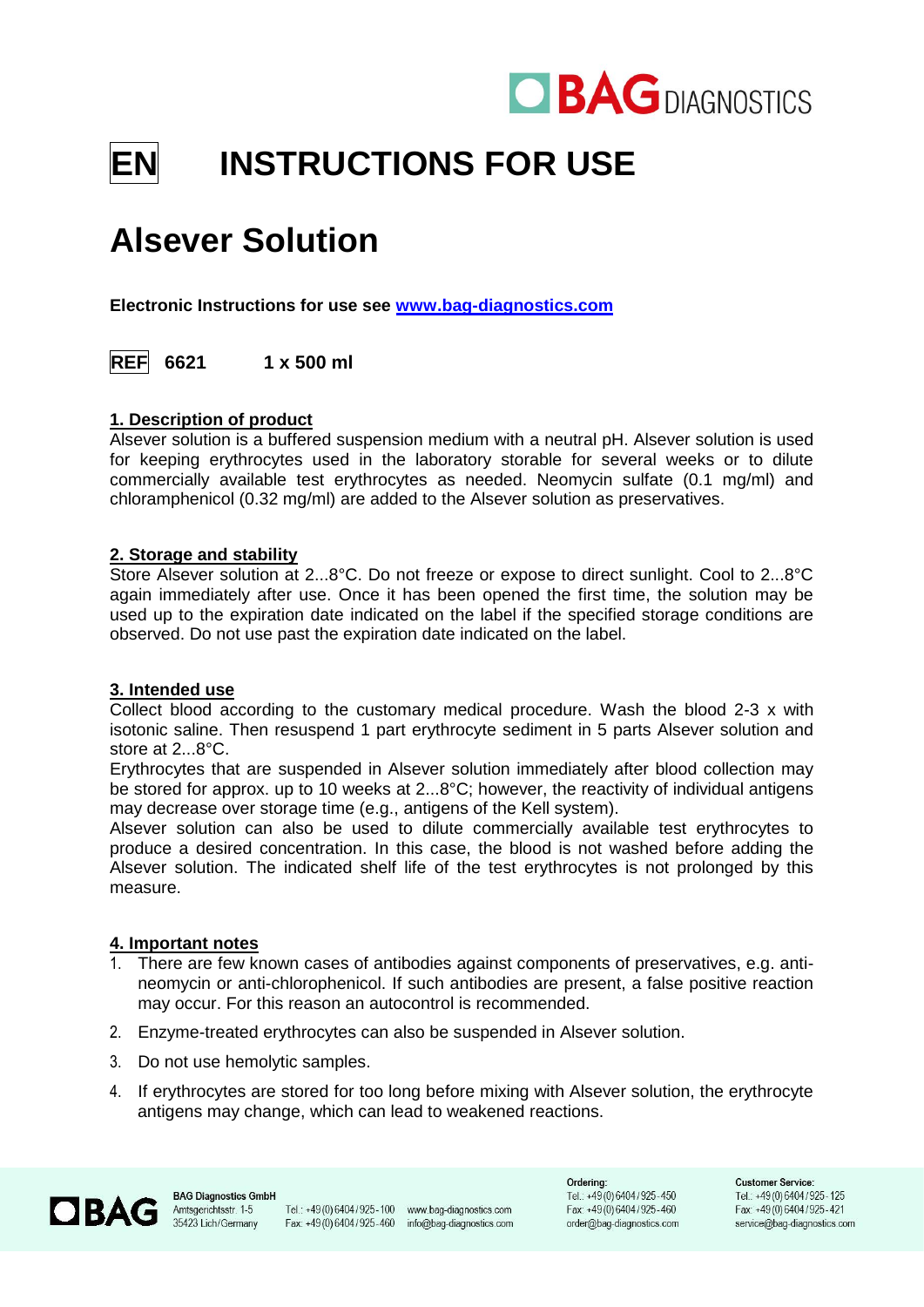

# **EN INSTRUCTIONS FOR USE**

# **Alsever Solution**

**Electronic Instructions for use see [www.bag-diagnostics.com](http://www.bag-diagnostics.com/)**

**REF 6621 1 x 500 ml**

# **1. Description of product**

Alsever solution is a buffered suspension medium with a neutral pH. Alsever solution is used for keeping erythrocytes used in the laboratory storable for several weeks or to dilute commercially available test erythrocytes as needed. Neomycin sulfate (0.1 mg/ml) and chloramphenicol (0.32 mg/ml) are added to the Alsever solution as preservatives.

# **2. Storage and stability**

Store Alsever solution at 2...8°C. Do not freeze or expose to direct sunlight. Cool to 2...8°C again immediately after use. Once it has been opened the first time, the solution may be used up to the expiration date indicated on the label if the specified storage conditions are observed. Do not use past the expiration date indicated on the label.

#### **3. Intended use**

Collect blood according to the customary medical procedure. Wash the blood 2-3 x with isotonic saline. Then resuspend 1 part erythrocyte sediment in 5 parts Alsever solution and store at 2...8°C.

Erythrocytes that are suspended in Alsever solution immediately after blood collection may be stored for approx. up to 10 weeks at 2...8°C; however, the reactivity of individual antigens may decrease over storage time (e.g., antigens of the Kell system).

Alsever solution can also be used to dilute commercially available test erythrocytes to produce a desired concentration. In this case, the blood is not washed before adding the Alsever solution. The indicated shelf life of the test erythrocytes is not prolonged by this measure.

#### **4. Important notes**

- 1. There are few known cases of antibodies against components of preservatives, e.g. antineomycin or anti-chlorophenicol. If such antibodies are present, a false positive reaction may occur. For this reason an autocontrol is recommended.
- 2. Enzyme-treated erythrocytes can also be suspended in Alsever solution.
- 3. Do not use hemolytic samples.
- 4. If erythrocytes are stored for too long before mixing with Alsever solution, the erythrocyte antigens may change, which can lead to weakened reactions.



Tel.: +49(0)6404/925-100 www.bag-diagnostics.com Fax: +49(0)6404/925-460 info@bag-diagnostics.com

Ordering: Tel.: +49(0)6404/925-450 Fax: +49(0)6404/925-460 order@bag-diagnostics.com

**Customer Service:** Tel.: +49 (0) 6404 / 925 - 125 Fax: +49(0)6404/925-421 service@bag-diagnostics.com